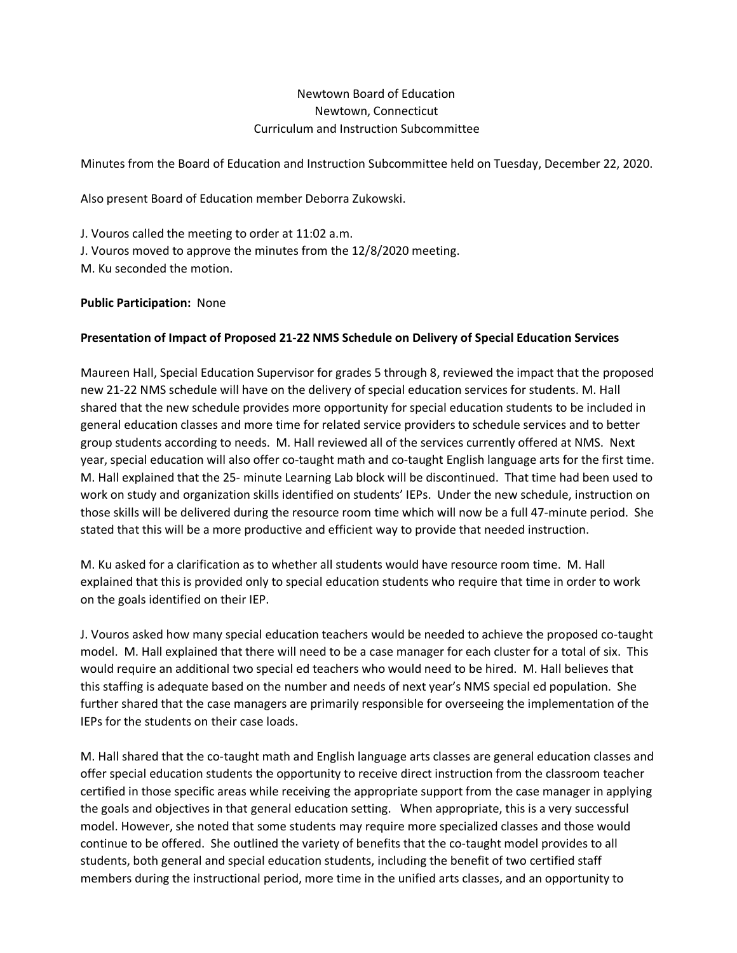# Newtown Board of Education Newtown, Connecticut Curriculum and Instruction Subcommittee

Minutes from the Board of Education and Instruction Subcommittee held on Tuesday, December 22, 2020.

Also present Board of Education member Deborra Zukowski.

J. Vouros called the meeting to order at 11:02 a.m. J. Vouros moved to approve the minutes from the 12/8/2020 meeting. M. Ku seconded the motion.

## **Public Participation:** None

## **Presentation of Impact of Proposed 21-22 NMS Schedule on Delivery of Special Education Services**

Maureen Hall, Special Education Supervisor for grades 5 through 8, reviewed the impact that the proposed new 21-22 NMS schedule will have on the delivery of special education services for students. M. Hall shared that the new schedule provides more opportunity for special education students to be included in general education classes and more time for related service providers to schedule services and to better group students according to needs. M. Hall reviewed all of the services currently offered at NMS. Next year, special education will also offer co-taught math and co-taught English language arts for the first time. M. Hall explained that the 25- minute Learning Lab block will be discontinued. That time had been used to work on study and organization skills identified on students' IEPs. Under the new schedule, instruction on those skills will be delivered during the resource room time which will now be a full 47-minute period. She stated that this will be a more productive and efficient way to provide that needed instruction.

M. Ku asked for a clarification as to whether all students would have resource room time. M. Hall explained that this is provided only to special education students who require that time in order to work on the goals identified on their IEP.

J. Vouros asked how many special education teachers would be needed to achieve the proposed co-taught model. M. Hall explained that there will need to be a case manager for each cluster for a total of six. This would require an additional two special ed teachers who would need to be hired. M. Hall believes that this staffing is adequate based on the number and needs of next year's NMS special ed population. She further shared that the case managers are primarily responsible for overseeing the implementation of the IEPs for the students on their case loads.

M. Hall shared that the co-taught math and English language arts classes are general education classes and offer special education students the opportunity to receive direct instruction from the classroom teacher certified in those specific areas while receiving the appropriate support from the case manager in applying the goals and objectives in that general education setting. When appropriate, this is a very successful model. However, she noted that some students may require more specialized classes and those would continue to be offered. She outlined the variety of benefits that the co-taught model provides to all students, both general and special education students, including the benefit of two certified staff members during the instructional period, more time in the unified arts classes, and an opportunity to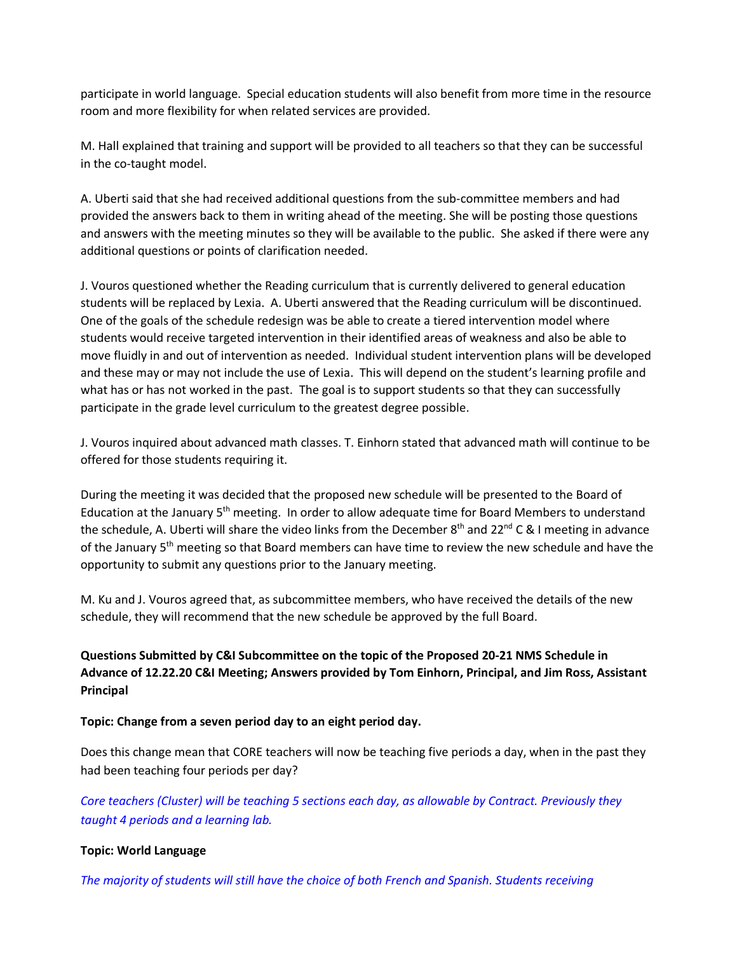participate in world language. Special education students will also benefit from more time in the resource room and more flexibility for when related services are provided.

M. Hall explained that training and support will be provided to all teachers so that they can be successful in the co-taught model.

A. Uberti said that she had received additional questions from the sub-committee members and had provided the answers back to them in writing ahead of the meeting. She will be posting those questions and answers with the meeting minutes so they will be available to the public. She asked if there were any additional questions or points of clarification needed.

J. Vouros questioned whether the Reading curriculum that is currently delivered to general education students will be replaced by Lexia. A. Uberti answered that the Reading curriculum will be discontinued. One of the goals of the schedule redesign was be able to create a tiered intervention model where students would receive targeted intervention in their identified areas of weakness and also be able to move fluidly in and out of intervention as needed. Individual student intervention plans will be developed and these may or may not include the use of Lexia. This will depend on the student's learning profile and what has or has not worked in the past. The goal is to support students so that they can successfully participate in the grade level curriculum to the greatest degree possible.

J. Vouros inquired about advanced math classes. T. Einhorn stated that advanced math will continue to be offered for those students requiring it.

During the meeting it was decided that the proposed new schedule will be presented to the Board of Education at the January  $5<sup>th</sup>$  meeting. In order to allow adequate time for Board Members to understand the schedule, A. Uberti will share the video links from the December  $8<sup>th</sup>$  and 22<sup>nd</sup> C & I meeting in advance of the January 5<sup>th</sup> meeting so that Board members can have time to review the new schedule and have the opportunity to submit any questions prior to the January meeting.

M. Ku and J. Vouros agreed that, as subcommittee members, who have received the details of the new schedule, they will recommend that the new schedule be approved by the full Board.

**Questions Submitted by C&I Subcommittee on the topic of the Proposed 20-21 NMS Schedule in Advance of 12.22.20 C&I Meeting; Answers provided by Tom Einhorn, Principal, and Jim Ross, Assistant Principal**

**Topic: Change from a seven period day to an eight period day.**

Does this change mean that CORE teachers will now be teaching five periods a day, when in the past they had been teaching four periods per day?

*Core teachers (Cluster) will be teaching 5 sections each day, as allowable by Contract. Previously they taught 4 periods and a learning lab.*

## **Topic: World Language**

*The majority of students will still have the choice of both French and Spanish. Students receiving*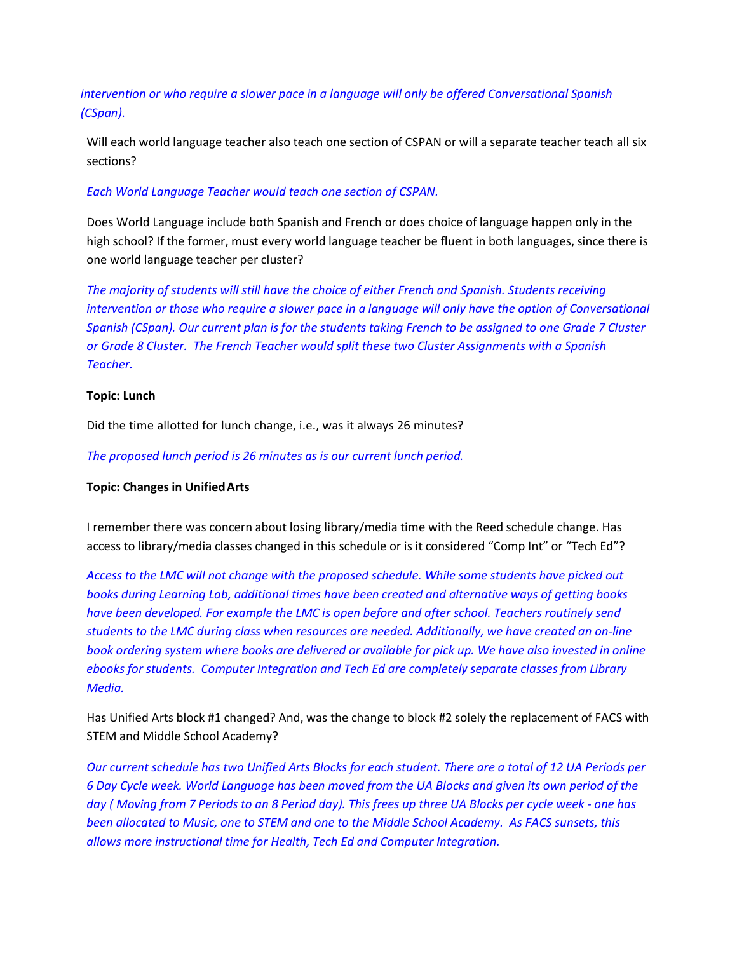# *intervention or who require a slower pace in a language will only be offered Conversational Spanish (CSpan).*

Will each world language teacher also teach one section of CSPAN or will a separate teacher teach all six sections?

# *Each World Language Teacher would teach one section of CSPAN.*

Does World Language include both Spanish and French or does choice of language happen only in the high school? If the former, must every world language teacher be fluent in both languages, since there is one world language teacher per cluster?

*The majority of students will still have the choice of either French and Spanish. Students receiving intervention or those who require a slower pace in a language will only have the option of Conversational Spanish (CSpan). Our current plan is for the students taking French to be assigned to one Grade 7 Cluster or Grade 8 Cluster. The French Teacher would split these two Cluster Assignments with a Spanish Teacher.*

## **Topic: Lunch**

Did the time allotted for lunch change, i.e., was it always 26 minutes?

*The proposed lunch period is 26 minutes as is our current lunch period.* 

## **Topic: Changes in UnifiedArts**

I remember there was concern about losing library/media time with the Reed schedule change. Has access to library/media classes changed in this schedule or is it considered "Comp Int" or "Tech Ed"?

*Access to the LMC will not change with the proposed schedule. While some students have picked out books during Learning Lab, additional times have been created and alternative ways of getting books have been developed. For example the LMC is open before and after school. Teachers routinely send students to the LMC during class when resources are needed. Additionally, we have created an on-line book ordering system where books are delivered or available for pick up. We have also invested in online ebooks for students. Computer Integration and Tech Ed are completely separate classes from Library Media.* 

Has Unified Arts block #1 changed? And, was the change to block #2 solely the replacement of FACS with STEM and Middle School Academy?

*Our current schedule has two Unified Arts Blocks for each student. There are a total of 12 UA Periods per 6 Day Cycle week. World Language has been moved from the UA Blocks and given its own period of the day ( Moving from 7 Periods to an 8 Period day). This frees up three UA Blocks per cycle week - one has been allocated to Music, one to STEM and one to the Middle School Academy. As FACS sunsets, this allows more instructional time for Health, Tech Ed and Computer Integration.*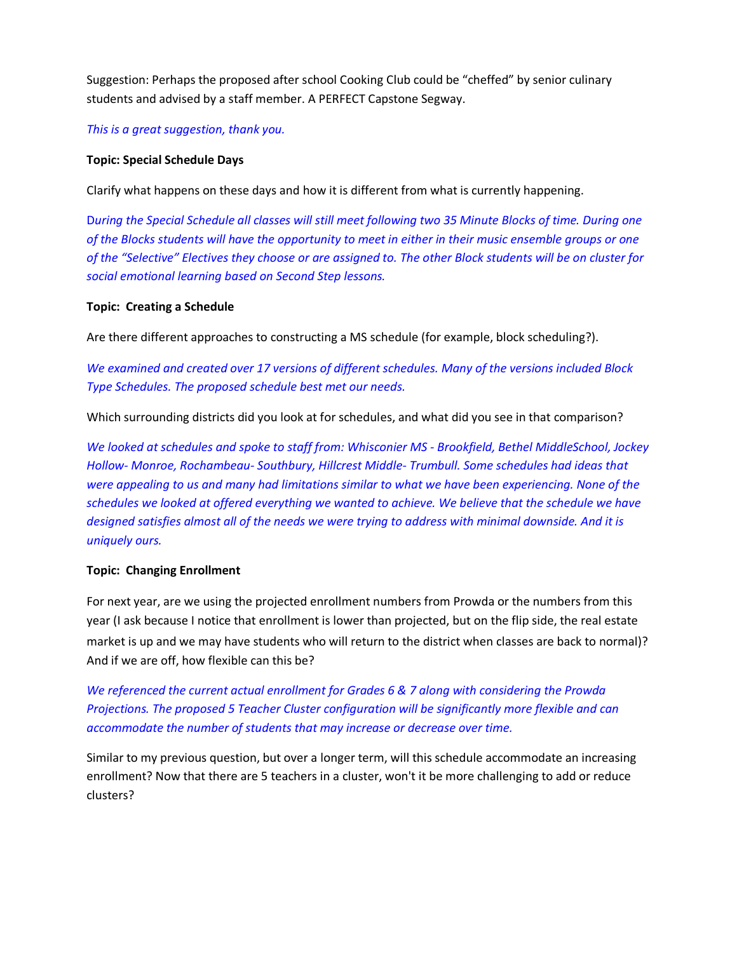Suggestion: Perhaps the proposed after school Cooking Club could be "cheffed" by senior culinary students and advised by a staff member. A PERFECT Capstone Segway.

### *This is a great suggestion, thank you.*

#### **Topic: Special Schedule Days**

Clarify what happens on these days and how it is different from what is currently happening.

D*uring the Special Schedule all classes will still meet following two 35 Minute Blocks of time. During one of the Blocks students will have the opportunity to meet in either in their music ensemble groups or one of the "Selective" Electives they choose or are assigned to. The other Block students will be on cluster for social emotional learning based on Second Step lessons.*

#### **Topic: Creating a Schedule**

Are there different approaches to constructing a MS schedule (for example, block scheduling?).

*We examined and created over 17 versions of different schedules. Many of the versions included Block Type Schedules. The proposed schedule best met our needs.*

Which surrounding districts did you look at for schedules, and what did you see in that comparison?

*We looked at schedules and spoke to staff from: Whisconier MS - Brookfield, Bethel MiddleSchool, Jockey Hollow- Monroe, Rochambeau- Southbury, Hillcrest Middle- Trumbull. Some schedules had ideas that were appealing to us and many had limitations similar to what we have been experiencing. None of the schedules we looked at offered everything we wanted to achieve. We believe that the schedule we have designed satisfies almost all of the needs we were trying to address with minimal downside. And it is uniquely ours.*

#### **Topic: Changing Enrollment**

For next year, are we using the projected enrollment numbers from Prowda or the numbers from this year (I ask because I notice that enrollment is lower than projected, but on the flip side, the real estate market is up and we may have students who will return to the district when classes are back to normal)? And if we are off, how flexible can this be?

*We referenced the current actual enrollment for Grades 6 & 7 along with considering the Prowda Projections. The proposed 5 Teacher Cluster configuration will be significantly more flexible and can accommodate the number of students that may increase or decrease over time.*

Similar to my previous question, but over a longer term, will this schedule accommodate an increasing enrollment? Now that there are 5 teachers in a cluster, won't it be more challenging to add or reduce clusters?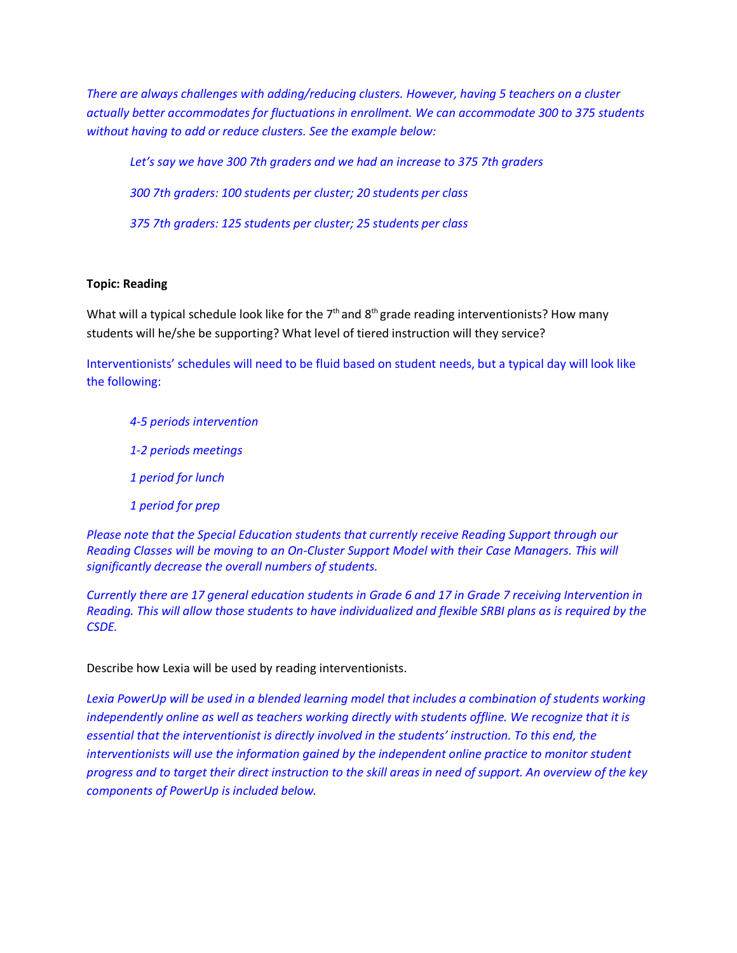*There are always challenges with adding/reducing clusters. However, having 5 teachers on a cluster actually better accommodates for fluctuations in enrollment. We can accommodate 300 to 375 students without having to add or reduce clusters. See the example below:*

*Let's say we have 300 7th graders and we had an increase to 375 7th graders 300 7th graders: 100 students per cluster; 20 students per class 375 7th graders: 125 students per cluster; 25 students per class*

## **Topic: Reading**

What will a typical schedule look like for the  $7<sup>th</sup>$  and  $8<sup>th</sup>$  grade reading interventionists? How many students will he/she be supporting? What level of tiered instruction will they service?

Interventionists' schedules will need to be fluid based on student needs, but a typical day will look like the following:

*4-5 periods intervention 1-2 periods meetings 1 period for lunch 1 period for prep*

*Please note that the Special Education students that currently receive Reading Support through our Reading Classes will be moving to an On-Cluster Support Model with their Case Managers. This will significantly decrease the overall numbers of students.*

*Currently there are 17 general education students in Grade 6 and 17 in Grade 7 receiving Intervention in Reading. This will allow those students to have individualized and flexible SRBI plans as is required by the CSDE.*

Describe how Lexia will be used by reading interventionists.

Lexia PowerUp will be used in a blended learning model that includes a combination of students working *independently online as well as teachers working directly with students offline. We recognize that it is essential that the interventionist is directly involved in the students' instruction. To this end, the interventionists will use the information gained by the independent online practice to monitor student progress and to target their direct instruction to the skill areas in need of support. An overview of the key components of PowerUp is included below.*